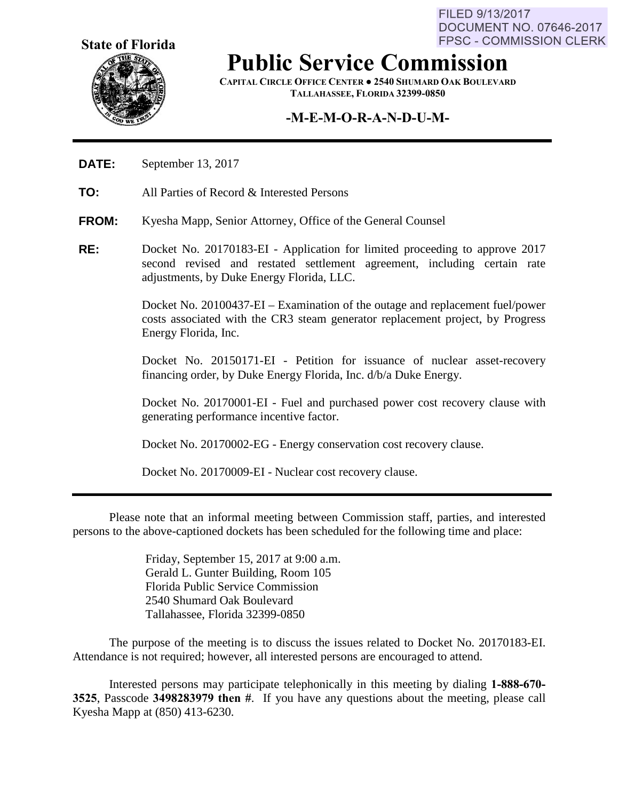**State of Florida**



**Public Service Commission**

**CAPITAL CIRCLE OFFICE CENTER ● 2540 SHUMARD OAK BOULEVARD TALLAHASSEE, FLORIDA 32399-0850**

## **-M-E-M-O-R-A-N-D-U-M-**

- **DATE:** September 13, 2017
- **TO:** All Parties of Record & Interested Persons
- **FROM:** Kyesha Mapp, Senior Attorney, Office of the General Counsel
- **RE:** Docket No. 20170183-EI Application for limited proceeding to approve 2017 second revised and restated settlement agreement, including certain rate adjustments, by Duke Energy Florida, LLC.

Docket No. 20100437-EI – Examination of the outage and replacement fuel/power costs associated with the CR3 steam generator replacement project, by Progress Energy Florida, Inc.

Docket No. 20150171-EI - Petition for issuance of nuclear asset-recovery financing order, by Duke Energy Florida, Inc. d/b/a Duke Energy.

Docket No. 20170001-EI - Fuel and purchased power cost recovery clause with generating performance incentive factor.

Docket No. 20170002-EG - Energy conservation cost recovery clause.

Docket No. 20170009-EI - Nuclear cost recovery clause.

Please note that an informal meeting between Commission staff, parties, and interested persons to the above-captioned dockets has been scheduled for the following time and place:

> Friday, September 15, 2017 at 9:00 a.m. Gerald L. Gunter Building, Room 105 Florida Public Service Commission 2540 Shumard Oak Boulevard Tallahassee, Florida 32399-0850

The purpose of the meeting is to discuss the issues related to Docket No. 20170183-EI. Attendance is not required; however, all interested persons are encouraged to attend.

Interested persons may participate telephonically in this meeting by dialing **1-888-670- 3525**, Passcode **3498283979 then #**. If you have any questions about the meeting, please call Kyesha Mapp at (850) 413-6230.

FILED 9/13/2017 **DOCUMENT NO. 07646-2017 FPSC - COMMISSION CLERK**